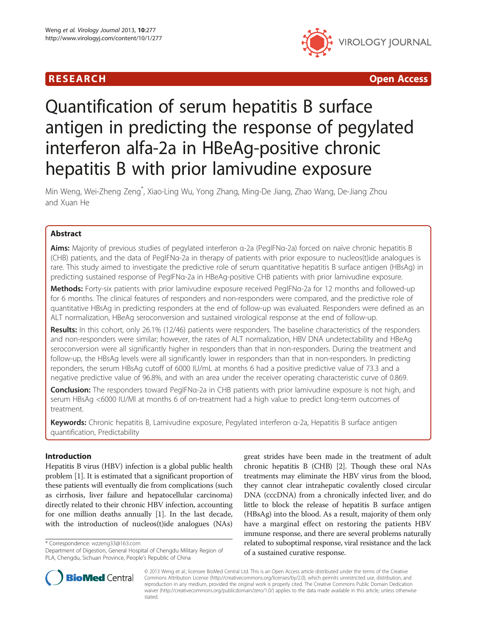

R E S EAR CH Open Access

# Quantification of serum hepatitis B surface antigen in predicting the response of pegylated interferon alfa-2a in HBeAg-positive chronic hepatitis B with prior lamivudine exposure

Min Weng, Wei-Zheng Zeng\* , Xiao-Ling Wu, Yong Zhang, Ming-De Jiang, Zhao Wang, De-Jiang Zhou and Xuan He

# Abstract

Aims: Majority of previous studies of pegylated interferon α-2a (PegIFNα-2a) forced on naïve chronic hepatitis B (CHB) patients, and the data of PegIFNα-2a in therapy of patients with prior exposure to nucleos(t)ide analogues is rare. This study aimed to investigate the predictive role of serum quantitative hepatitis B surface antigen (HBsAg) in predicting sustained response of PegIFNα-2a in HBeAg-positive CHB patients with prior lamivudine exposure.

Methods: Forty-six patients with prior lamivudine exposure received PegIFNa-2a for 12 months and followed-up for 6 months. The clinical features of responders and non-responders were compared, and the predictive role of quantitative HBsAg in predicting responders at the end of follow-up was evaluated. Responders were defined as an ALT normalization, HBeAg seroconversion and sustained virological response at the end of follow-up.

Results: In this cohort, only 26.1% (12/46) patients were responders. The baseline characteristics of the responders and non-responders were similar; however, the rates of ALT normalization, HBV DNA undetectability and HBeAg seroconversion were all significantly higher in responders than that in non-responders. During the treatment and follow-up, the HBsAg levels were all significantly lower in responders than that in non-responders. In predicting reponders, the serum HBsAg cutoff of 6000 IU/mL at months 6 had a positive predictive value of 73.3 and a negative predictive value of 96.8%, and with an area under the receiver operating characteristic curve of 0.869.

Conclusion: The responders toward PegIFNα-2a in CHB patients with prior lamivudine exposure is not high, and serum HBsAg <6000 IU/Ml at months 6 of on-treatment had a high value to predict long-term outcomes of treatment.

Keywords: Chronic hepatitis B, Lamivudine exposure, Pegylated interferon α-2a, Hepatitis B surface antigen quantification, Predictability

# Introduction

Hepatitis B virus (HBV) infection is a global public health problem [\[1\]](#page-3-0). It is estimated that a significant proportion of these patients will eventually die from complications (such as cirrhosis, liver failure and hepatocellular carcinoma) directly related to their chronic HBV infection, accounting for one million deaths annually [\[1](#page-3-0)]. In the last decade, with the introduction of nucleos(t)ide analogues (NAs)

\* Correspondence: [wzzeng33@163.com](mailto:wzzeng33@163.com)

great strides have been made in the treatment of adult chronic hepatitis B (CHB) [\[2](#page-3-0)]. Though these oral NAs treatments may eliminate the HBV virus from the blood, they cannot clear intrahepatic covalently closed circular DNA (cccDNA) from a chronically infected liver, and do little to block the release of hepatitis B surface antigen (HBsAg) into the blood. As a result, majority of them only have a marginal effect on restoring the patients HBV immune response, and there are several problems naturally related to suboptimal response, viral resistance and the lack of a sustained curative response.



© 2013 Weng et al.; licensee BioMed Central Ltd. This is an Open Access article distributed under the terms of the Creative Commons Attribution License [\(http://creativecommons.org/licenses/by/2.0\)](http://creativecommons.org/licenses/by/2.0), which permits unrestricted use, distribution, and reproduction in any medium, provided the original work is properly cited. The Creative Commons Public Domain Dedication waiver [\(http://creativecommons.org/publicdomain/zero/1.0/\)](http://creativecommons.org/publicdomain/zero/1.0/) applies to the data made available in this article, unless otherwise stated.

Department of Digestion, General Hospital of Chengdu Military Region of PLA, Chengdu, Sichuan Province, People's Republic of China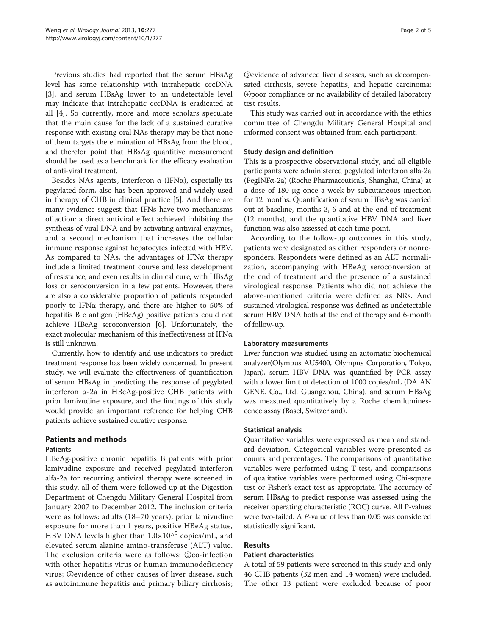Previous studies had reported that the serum HBsAg level has some relationship with intrahepatic cccDNA [[3\]](#page-3-0), and serum HBsAg lower to an undetectable level may indicate that intrahepatic cccDNA is eradicated at all [[4](#page-3-0)]. So currently, more and more scholars speculate that the main cause for the lack of a sustained curative response with existing oral NAs therapy may be that none of them targets the elimination of HBsAg from the blood, and therefor point that HBsAg quantitive measurement should be used as a benchmark for the efficacy evaluation of anti-viral treatment.

Besides NAs agents, interferon  $\alpha$  (IFN $\alpha$ ), especially its pegylated form, also has been approved and widely used in therapy of CHB in clinical practice [\[5](#page-3-0)]. And there are many evidence suggest that IFNs have two mechanisms of action: a direct antiviral effect achieved inhibiting the synthesis of viral DNA and by activating antiviral enzymes, and a second mechanism that increases the cellular immune response against hepatocytes infected with HBV. As compared to NAs, the advantages of IFN $\alpha$  therapy include a limited treatment course and less development of resistance, and even results in clinical cure, with HBsAg loss or seroconversion in a few patients. However, there are also a considerable proportion of patients responded poorly to IFNα therapy, and there are higher to 50% of hepatitis B e antigen (HBeAg) positive patients could not achieve HBeAg seroconversion [\[6](#page-3-0)]. Unfortunately, the exact molecular mechanism of this ineffectiveness of IFNα is still unknown.

Currently, how to identify and use indicators to predict treatment response has been widely concerned. In present study, we will evaluate the effectiveness of quantification of serum HBsAg in predicting the response of pegylated interferon α-2a in HBeAg-positive CHB patients with prior lamivudine exposure, and the findings of this study would provide an important reference for helping CHB patients achieve sustained curative response.

### Patients and methods

#### Patients

HBeAg-positive chronic hepatitis B patients with prior lamivudine exposure and received pegylated interferon alfa-2a for recurring antiviral therapy were screened in this study, all of them were followed up at the Digestion Department of Chengdu Military General Hospital from January 2007 to December 2012. The inclusion criteria were as follows: adults (18–70 years), prior lamivudine exposure for more than 1 years, positive HBeAg statue, HBV DNA levels higher than  $1.0 \times 10^{6}$  copies/mL, and elevated serum alanine amino-transferase (ALT) value. The exclusion criteria were as follows: ①co-infection with other hepatitis virus or human immunodeficiency virus; ②evidence of other causes of liver disease, such as autoimmune hepatitis and primary biliary cirrhosis; ③evidence of advanced liver diseases, such as decompensated cirrhosis, severe hepatitis, and hepatic carcinoma; ④poor compliance or no availability of detailed laboratory test results.

This study was carried out in accordance with the ethics committee of Chengdu Military General Hospital and informed consent was obtained from each participant.

#### Study design and definition

This is a prospective observational study, and all eligible participants were administered pegylated interferon alfa-2a (PegINFα-2a) (Roche Pharmaceuticals, Shanghai, China) at a dose of 180 μg once a week by subcutaneous injection for 12 months. Quantification of serum HBsAg was carried out at baseline, months 3, 6 and at the end of treatment (12 months), and the quantitative HBV DNA and liver function was also assessed at each time-point.

According to the follow-up outcomes in this study, patients were designated as either responders or nonresponders. Responders were defined as an ALT normalization, accompanying with HBeAg seroconversion at the end of treatment and the presence of a sustained virological response. Patients who did not achieve the above-mentioned criteria were defined as NRs. And sustained virological response was defined as undetectable serum HBV DNA both at the end of therapy and 6-month of follow-up.

#### Laboratory measurements

Liver function was studied using an automatic biochemical analyzer(Olympus AU5400, Olympus Corporation, Tokyo, Japan), serum HBV DNA was quantified by PCR assay with a lower limit of detection of 1000 copies/mL (DA AN GENE. Co., Ltd. Guangzhou, China), and serum HBsAg was measured quantitatively by a Roche chemiluminescence assay (Basel, Switzerland).

#### Statistical analysis

Quantitative variables were expressed as mean and standard deviation. Categorical variables were presented as counts and percentages. The comparisons of quantitative variables were performed using T-test, and comparisons of qualitative variables were performed using Chi-square test or Fisher's exact test as appropriate. The accuracy of serum HBsAg to predict response was assessed using the receiver operating characteristic (ROC) curve. All P-values were two-tailed. A P-value of less than 0.05 was considered statistically significant.

# Results

#### Patient characteristics

A total of 59 patients were screened in this study and only 46 CHB patients (32 men and 14 women) were included. The other 13 patient were excluded because of poor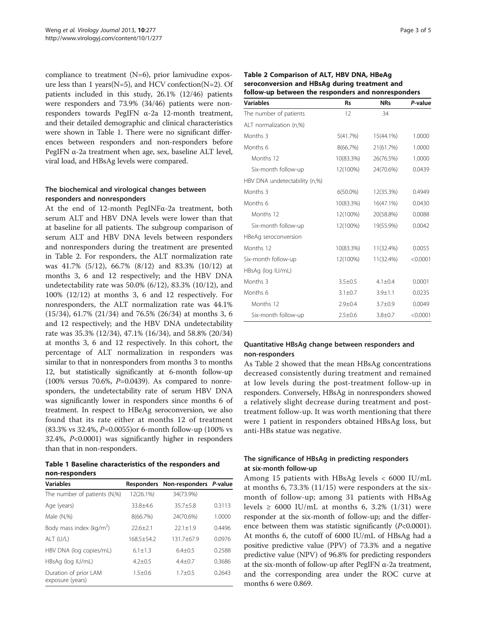compliance to treatment (N=6), prior lamivudine exposure less than 1 years( $N=5$ ), and HCV confection( $N=2$ ). Of patients included in this study, 26.1% (12/46) patients were responders and 73.9% (34/46) patients were nonresponders towards PegIFN α-2a 12-month treatment, and their detailed demographic and clinical characteristics were shown in Table 1. There were no significant differences between responders and non-responders before PegIFN α-2a treatment when age, sex, baseline ALT level, viral load, and HBsAg levels were compared.

### The biochemical and virological changes between responders and nonresponders

At the end of 12-month PegINFα-2a treatment, both serum ALT and HBV DNA levels were lower than that at baseline for all patients. The subgroup comparison of serum ALT and HBV DNA levels between responders and nonresponders during the treatment are presented in Table 2. For responders, the ALT normalization rate was 41.7% (5/12), 66.7% (8/12) and 83.3% (10/12) at months 3, 6 and 12 respectively; and the HBV DNA undetectability rate was 50.0% (6/12), 83.3% (10/12), and 100% (12/12) at months 3, 6 and 12 respectively. For nonresponders, the ALT normalization rate was 44.1% (15/34), 61.7% (21/34) and 76.5% (26/34) at months 3, 6 and 12 respectively; and the HBV DNA undetectability rate was 35.3% (12/34), 47.1% (16/34), and 58.8% (20/34) at months 3, 6 and 12 respectively. In this cohort, the percentage of ALT normalization in responders was similar to that in nonresponders from months 3 to months 12, but statistically significantly at 6-month follow-up (100% versus 70.6%, P=0.0439). As compared to nonresponders, the undetectability rate of serum HBV DNA was significantly lower in responders since months 6 of treatment. In respect to HBeAg seroconversion, we also found that its rate either at months 12 of treatment (83.3% vs 32.4%, P=0.0055)or 6-month follow-up (100% vs 32.4%, P<0.0001) was significantly higher in responders than that in non-responders.

Table 1 Baseline characteristics of the responders and non-responders

| <b>Variables</b>                          |                | Responders Non-responders P-value |        |
|-------------------------------------------|----------------|-----------------------------------|--------|
| The number of patients (N,%)              | 12(26.1%)      | 34(73.9%)                         |        |
| Age (years)                               | $33.8 + 4.6$   | $35.7 + 5.8$                      | 0.3113 |
| Male $(N,\%)$                             | 8(66.7%)       | 24(70.6%)                         | 1.0000 |
| Body mass index ( $kg/m2$ )               | $22.6 + 2.1$   | $22.1 + 1.9$                      | 0.4496 |
| ALT (U/L)                                 | $168.5 + 54.2$ | $131.7 + 67.9$                    | 0.0976 |
| HBV DNA (log copies/mL)                   | $6.1 + 1.3$    | $6.4 + 0.5$                       | 0.2588 |
| HBsAg (log IU/mL)                         | $4.2 + 0.5$    | $4.4 + 0.7$                       | 0.3686 |
| Duration of prior LAM<br>exposure (years) | $1.5 + 0.6$    | $1.7 + 0.5$                       | 0.2643 |

| Table 2 Comparison of ALT, HBV DNA, HBeAg          |  |  |  |
|----------------------------------------------------|--|--|--|
| seroconversion and HBsAg during treatment and      |  |  |  |
| follow-up between the responders and nonresponders |  |  |  |

| <b>Variables</b>              | <b>Rs</b>     | <b>NRs</b>    | P-value  |
|-------------------------------|---------------|---------------|----------|
| The number of patients        | 12            | 34            |          |
| ALT normalization (n,%)       |               |               |          |
| Months 3                      | 5(41.7%)      | 15(44.1%)     | 1.0000   |
| Months 6                      | 8(66.7%)      | 21(61.7%)     | 1.0000   |
| Months 12                     | 10(83.3%)     | 26(76.5%)     | 1.0000   |
| Six-month follow-up           | 12(100%)      | 24(70.6%)     | 0.0439   |
| HBV DNA undetectability (n,%) |               |               |          |
| Months 3                      | $6(50.0\%)$   | 12(35.3%)     | 0.4949   |
| Months 6                      | 10(83.3%)     | 16(47.1%)     | 0.0430   |
| Months 12                     | 12(100%)      | 20(58.8%)     | 0.0088   |
| Six-month follow-up           | 12(100%)      | 19(55.9%)     | 0.0042   |
| HBeAg seroconversion          |               |               |          |
| Months 12                     | 10(83.3%)     | 11(32.4%)     | 0.0055   |
| Six-month follow-up           | 12(100%)      | 11(32.4%)     | < 0.0001 |
| HBsAg (log IU/mL)             |               |               |          |
| Months 3                      | $3.5 \pm 0.5$ | $4.1 + 0.4$   | 0.0001   |
| Months 6                      | $3.1 \pm 0.7$ | $3.9 + 1.1$   | 0.0235   |
| Months 12                     | $2.9 + 0.4$   | $3.7 \pm 0.9$ | 0.0049   |
| Six-month follow-up           | $2.5 + 0.6$   | $3.8 + 0.7$   | < 0.0001 |

### Quantitative HBsAg change between responders and non-responders

As Table 2 showed that the mean HBsAg concentrations decreased consistently during treatment and remained at low levels during the post-treatment follow-up in responders. Conversely, HBsAg in nonresponders showed a relatively slight decrease during treatment and posttreatment follow-up. It was worth mentioning that there were 1 patient in responders obtained HBsAg loss, but anti-HBs statue was negative.

## The significance of HBsAg in predicting responders at six-month follow-up

Among 15 patients with HBsAg levels < 6000 IU/mL at months 6, 73.3% (11/15) were responders at the sixmonth of follow-up; among 31 patients with HBsAg levels  $\geq$  6000 IU/mL at months 6, 3.2% (1/31) were responder at the six-month of follow-up; and the difference between them was statistic significantly  $(P<0.0001)$ . At months 6, the cutoff of 6000 IU/mL of HBsAg had a positive predictive value (PPV) of 73.3% and a negative predictive value (NPV) of 96.8% for predicting responders at the six-month of follow-up after PegIFN  $\alpha$ -2a treatment, and the corresponding area under the ROC curve at months 6 were 0.869.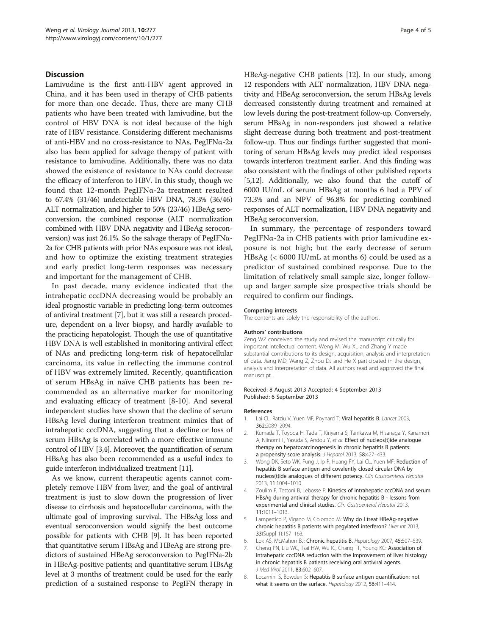#### <span id="page-3-0"></span>**Discussion**

Lamivudine is the first anti-HBV agent approved in China, and it has been used in therapy of CHB patients for more than one decade. Thus, there are many CHB patients who have been treated with lamivudine, but the control of HBV DNA is not ideal because of the high rate of HBV resistance. Considering different mechanisms of anti-HBV and no cross-resistance to NAs, PegIFNα-2a also has been applied for salvage therapy of patient with resistance to lamivudine. Additionally, there was no data showed the existence of resistance to NAs could decrease the efficacy of interferon to HBV. In this study, though we found that 12-month PegIFNα-2a treatment resulted to 67.4% (31/46) undetectable HBV DNA, 78.3% (36/46) ALT normalization, and higher to 50% (23/46) HBeAg seroconversion, the combined response (ALT normalization combined with HBV DNA negativity and HBeAg seroconversion) was just 26.1%. So the salvage therapy of PegIFNα-2a for CHB patients with prior NAs exposure was not ideal, and how to optimize the existing treatment strategies and early predict long-term responses was necessary and important for the management of CHB.

In past decade, many evidence indicated that the intrahepatic cccDNA decreasing would be probably an ideal prognostic variable in predicting long-term outcomes of antiviral treatment [7], but it was still a research procedure, dependent on a liver biopsy, and hardly available to the practicing hepatologist. Though the use of quantitative HBV DNA is well established in monitoring antiviral effect of NAs and predicting long-term risk of hepatocellular carcinoma, its value in reflecting the immune control of HBV was extremely limited. Recently, quantification of serum HBsAg in naïve CHB patients has been recommended as an alternative marker for monitoring and evaluating efficacy of treatment [8[-10\]](#page-4-0). And several independent studies have shown that the decline of serum HBsAg level during interferon treatment mimics that of intrahepatic cccDNA, suggesting that a decline or loss of serum HBsAg is correlated with a more effective immune control of HBV [3,4]. Moreover, the quantification of serum HBsAg has also been recommended as a useful index to guide interferon individualized treatment [[11](#page-4-0)].

As we know, current therapeutic agents cannot completely remove HBV from liver; and the goal of antiviral treatment is just to slow down the progression of liver disease to cirrhosis and hepatocellular carcinoma, with the ultimate goal of improving survival. The HBsAg loss and eventual seroconversion would signify the best outcome possible for patients with CHB [[9](#page-4-0)]. It has been reported that quantitative serum HBsAg and HBeAg are strong predictors of sustained HBeAg seroconversion to PegIFNa-2b in HBeAg-positive patients; and quantitative serum HBsAg level at 3 months of treatment could be used for the early prediction of a sustained response to PegIFN therapy in HBeAg-negative CHB patients [\[12\]](#page-4-0). In our study, among 12 responders with ALT normalization, HBV DNA negativity and HBeAg seroconversion, the serum HBsAg levels decreased consistently during treatment and remained at low levels during the post-treatment follow-up. Conversely, serum HBsAg in non-responders just showed a relative slight decrease during both treatment and post-treatment follow-up. Thus our findings further suggested that monitoring of serum HBsAg levels may predict ideal responses towards interferon treatment earlier. And this finding was also consistent with the findings of other published reports [5[,12\]](#page-4-0). Additionally, we also found that the cutoff of 6000 IU/mL of serum HBsAg at months 6 had a PPV of 73.3% and an NPV of 96.8% for predicting combined responses of ALT normalization, HBV DNA negativity and HBeAg seroconversion.

In summary, the percentage of responders toward PegIFNα-2a in CHB patients with prior lamivudine exposure is not high; but the early decrease of serum HBsAg (< 6000 IU/mL at months 6) could be used as a predictor of sustained combined response. Due to the limitation of relatively small sample size, longer followup and larger sample size prospective trials should be required to confirm our findings.

#### Competing interests

The contents are solely the responsibility of the authors.

#### Authors' contributions

Zeng WZ conceived the study and revised the manuscript critically for important intellectual content. Weng M, Wu XL and Zhang Y made substantial contributions to its design, acquisition, analysis and interpretation of data. Jiang MD, Wang Z, Zhou DJ and He X participated in the design, analysis and interpretation of data. All authors read and approved the final manuscript.

#### Received: 8 August 2013 Accepted: 4 September 2013 Published: 6 September 2013

#### References

- 1. Lai CL, Ratziu V, Yuen MF, Poynard T: Viral hepatitis B. Lancet 2003, 362:2089–2094.
- 2. Kumada T, Toyoda H, Tada T, Kiriyama S, Tanikawa M, Hisanaga Y, Kanamori A, Niinomi T, Yasuda S, Andou Y, et al: Effect of nucleos(t)ide analogue therapy on hepatocarcinogenesis in chronic hepatitis B patients: a propensity score analysis. J Hepatol 2013, 58:427-433.
- 3. Wong DK, Seto WK, Fung J, Ip P, Huang FY, Lai CL, Yuen MF: Reduction of hepatitis B surface antigen and covalently closed circular DNA by nucleos(t)ide analogues of different potency. Clin Gastroenterol Hepatol 2013, 11:1004–1010.
- 4. Zoulim F, Testoni B, Lebosse F: Kinetics of intrahepatic cccDNA and serum HBsAg during antiviral therapy for chronic hepatitis B - lessons from experimental and clinical studies. Clin Gastroenterol Hepatol 2013, 11:1011–1013.
- Lampertico P, Vigano M, Colombo M: Why do I treat HBeAg-negative chronic hepatitis B patients with pegylated interferon? Liver Int 2013, 33(Suppl 1):157–163.
- 6. Lok AS, McMahon BJ: Chronic hepatitis B. Hepatology 2007, 45:507–539.
- 7. Cheng PN, Liu WC, Tsai HW, Wu IC, Chang TT, Young KC: Association of intrahepatic cccDNA reduction with the improvement of liver histology in chronic hepatitis B patients receiving oral antiviral agents. J Med Virol 2011, 83:602–607.
- 8. Locarnini S, Bowden S: Hepatitis B surface antigen quantification: not what it seems on the surface. Hepatology 2012, 56:411–414.